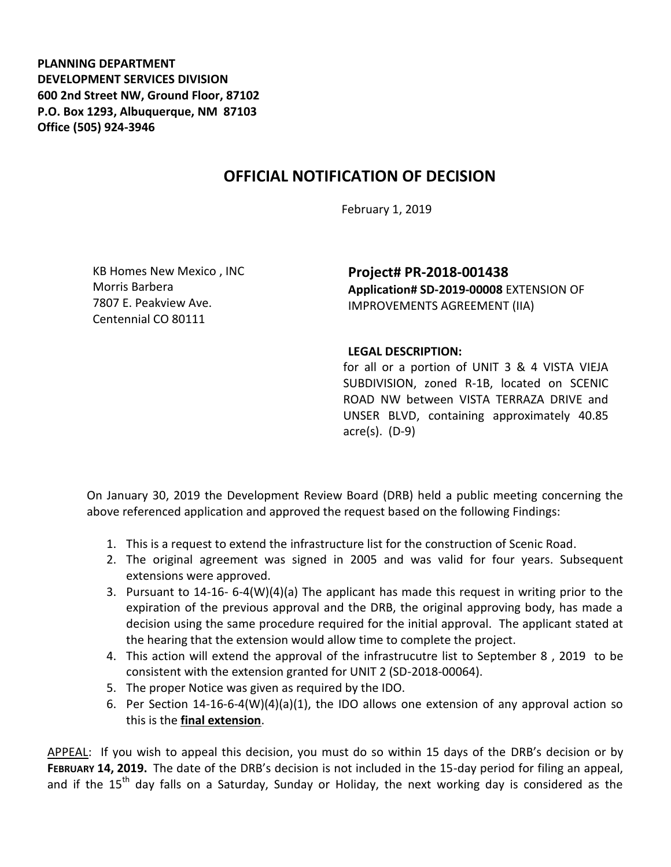**PLANNING DEPARTMENT DEVELOPMENT SERVICES DIVISION 600 2nd Street NW, Ground Floor, 87102 P.O. Box 1293, Albuquerque, NM 87103 Office (505) 924-3946** 

## **OFFICIAL NOTIFICATION OF DECISION**

February 1, 2019

KB Homes New Mexico , INC Morris Barbera 7807 E. Peakview Ave. Centennial CO 80111

**Project# PR-2018-001438 Application# SD-2019-00008** EXTENSION OF IMPROVEMENTS AGREEMENT (IIA)

## **LEGAL DESCRIPTION:**

for all or a portion of UNIT 3 & 4 VISTA VIEJA SUBDIVISION, zoned R-1B, located on SCENIC ROAD NW between VISTA TERRAZA DRIVE and UNSER BLVD, containing approximately 40.85 acre(s). (D-9)

On January 30, 2019 the Development Review Board (DRB) held a public meeting concerning the above referenced application and approved the request based on the following Findings:

- 1. This is a request to extend the infrastructure list for the construction of Scenic Road.
- 2. The original agreement was signed in 2005 and was valid for four years. Subsequent extensions were approved.
- 3. Pursuant to 14-16- 6-4(W)(4)(a) The applicant has made this request in writing prior to the expiration of the previous approval and the DRB, the original approving body, has made a decision using the same procedure required for the initial approval. The applicant stated at the hearing that the extension would allow time to complete the project.
- 4. This action will extend the approval of the infrastrucutre list to September 8 , 2019 to be consistent with the extension granted for UNIT 2 (SD-2018-00064).
- 5. The proper Notice was given as required by the IDO.
- 6. Per Section 14-16-6-4(W)(4)(a)(1), the IDO allows one extension of any approval action so this is the **final extension**.

APPEAL: If you wish to appeal this decision, you must do so within 15 days of the DRB's decision or by **FEBRUARY 14, 2019.** The date of the DRB's decision is not included in the 15-day period for filing an appeal, and if the  $15<sup>th</sup>$  day falls on a Saturday, Sunday or Holiday, the next working day is considered as the